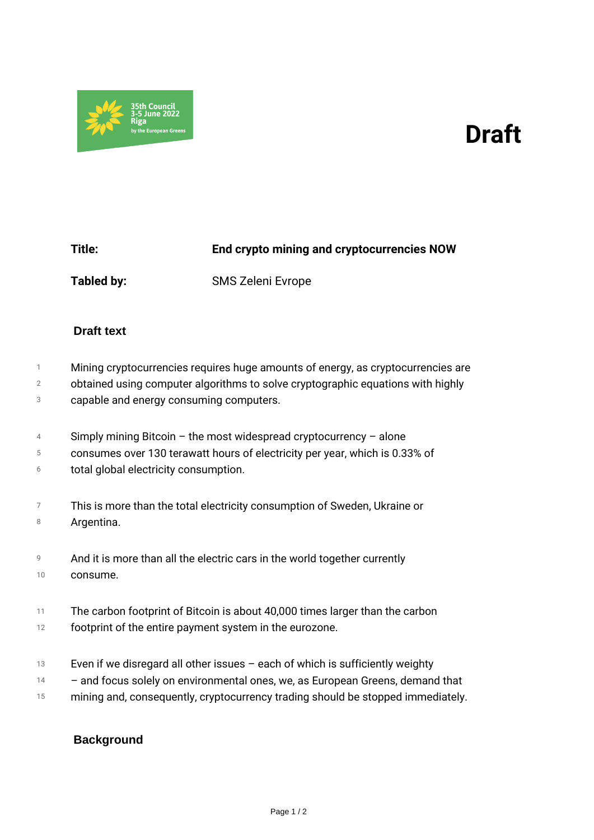## *Draft*



*Title: End crypto mining and cryptocurrencies NOW Tabled by: SMS Zeleni Evrope*

## **Draft text**

- *1 Mining cryptocurrencies requires huge amounts of energy, as cryptocurrencies are*
- *2 obtained using computer algorithms to solve cryptographic equations with highly*
- *3 capable and energy consuming computers.*
- *4 Simply mining Bitcoin – the most widespread cryptocurrency – alone*
- *5 consumes over 130 terawatt hours of electricity per year, which is 0.33% of*
- *6 total global electricity consumption.*
- *7 8 This is more than the total electricity consumption of Sweden, Ukraine or Argentina.*
- *9 10 And it is more than all the electric cars in the world together currently consume.*
- *11 The carbon footprint of Bitcoin is about 40,000 times larger than the carbon*
- *12 footprint of the entire payment system in the eurozone.*
- *13 Even if we disregard all other issues – each of which is sufficiently weighty*
- *14 – and focus solely on environmental ones, we, as European Greens, demand that*
- *15 mining and, consequently, cryptocurrency trading should be stopped immediately.*

## **Background**